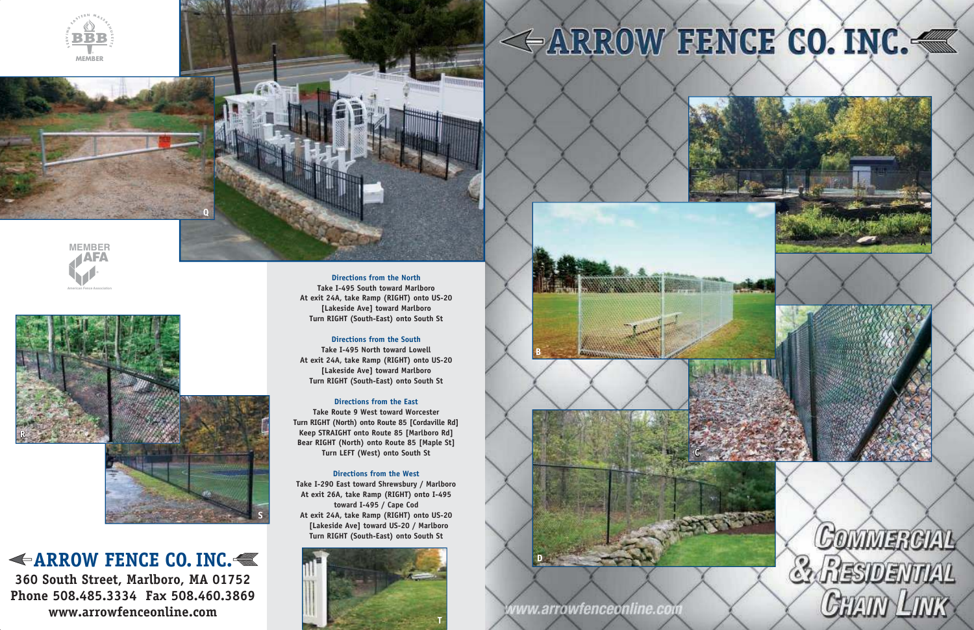**ARROW FENCE CO. INC. 360 South Street, Marlboro, MA 01752 Phone 508.485.3334 Fax 508.460.3869 www.arrowfenceonline.com**

**Directions from the North Take I-495 South toward Marlboro At exit 24A, take Ramp (RIGHT) onto US-20 [Lakeside Ave] toward Marlboro Turn RIGHT (South-East) onto South St** 

# **Directions from the South**

**Take I-495 North toward Lowell At exit 24A, take Ramp (RIGHT) onto US-20 [Lakeside Ave] toward Marlboro Turn RIGHT (South-East) onto South St** 

# **Directions from the East**

**Take Route 9 West toward Worcester Turn RIGHT (North) onto Route 85 [Cordaville Rd] Keep STRAIGHT onto Route 85 [Marlboro Rd] Bear RIGHT (North) onto Route 85 [Maple St] Turn LEFT (West) onto South St** 

### **Directions from the West**

**Take I-290 East toward Shrewsbury / Marlboro At exit 26A, take Ramp (RIGHT) onto I-495 toward I-495 / Cape Cod At exit 24A, take Ramp (RIGHT) onto US-20 [Lakeside Ave] toward US-20 / Marlboro Turn RIGHT (South-East) onto South St**









vww.arrowfenceonline.com